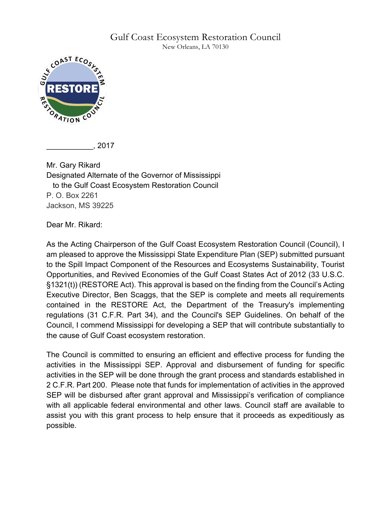## Gulf Coast Ecosystem Restoration Council

New Orleans, LA 70130



\_\_\_\_\_\_\_\_\_\_\_, 2017

Mr. Gary Rikard Designated Alternate of the Governor of Mississippi to the Gulf Coast Ecosystem Restoration Council P. O. Box 2261 Jackson, MS 39225

Dear Mr. Rikard:

As the Acting Chairperson of the Gulf Coast Ecosystem Restoration Council (Council), I am pleased to approve the Mississippi State Expenditure Plan (SEP) submitted pursuant to the Spill Impact Component of the Resources and Ecosystems Sustainability, Tourist Opportunities, and Revived Economies of the Gulf Coast States Act of 2012 (33 U.S.C. §1321(t)) (RESTORE Act). This approval is based on the finding from the Council's Acting Executive Director, Ben Scaggs, that the SEP is complete and meets all requirements contained in the RESTORE Act, the Department of the Treasury's implementing regulations (31 C.F.R. Part 34), and the Council's SEP Guidelines. On behalf of the Council, I commend Mississippi for developing a SEP that will contribute substantially to the cause of Gulf Coast ecosystem restoration.

The Council is committed to ensuring an efficient and effective process for funding the activities in the Mississippi SEP. Approval and disbursement of funding for specific activities in the SEP will be done through the grant process and standards established in 2 C.F.R. Part 200. Please note that funds for implementation of activities in the approved SEP will be disbursed after grant approval and Mississippi's verification of compliance with all applicable federal environmental and other laws. Council staff are available to assist you with this grant process to help ensure that it proceeds as expeditiously as possible.